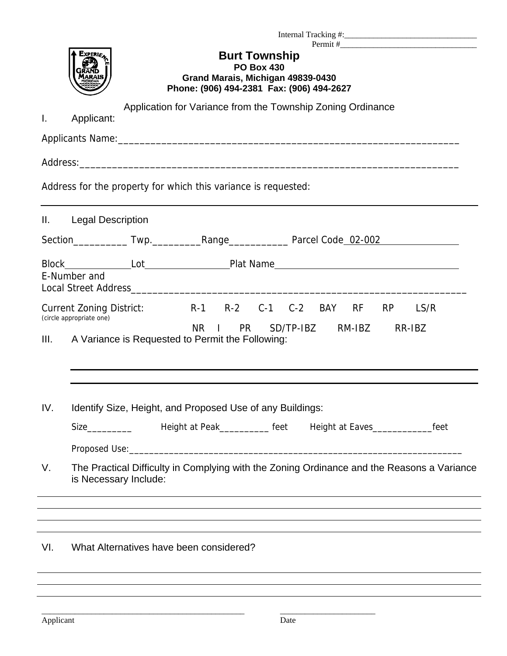| Experie<br><b>Burt Township</b><br><b>PO Box 430</b><br>Grand Marais, Michigan 49839-0430<br>Phone: (906) 494-2381 Fax: (906) 494-2627 |  |  |
|----------------------------------------------------------------------------------------------------------------------------------------|--|--|
| Application for Variance from the Township Zoning Ordinance                                                                            |  |  |
| Applicant:<br>I.                                                                                                                       |  |  |
|                                                                                                                                        |  |  |
|                                                                                                                                        |  |  |
| Address for the property for which this variance is requested:                                                                         |  |  |
| <b>Legal Description</b><br>Ш.                                                                                                         |  |  |
|                                                                                                                                        |  |  |
|                                                                                                                                        |  |  |
| E-Number and                                                                                                                           |  |  |
|                                                                                                                                        |  |  |
| R-1 R-2 C-1 C-2 BAY<br>RF<br><b>Current Zoning District:</b><br><b>RP</b><br>LS/R<br>(circle appropriate one)                          |  |  |
| NR.<br>SD/TP-IBZ RM-IBZ<br>$\mathbf{1}$<br><b>PR</b><br>RR-IBZ<br>A Variance is Requested to Permit the Following:<br>III.             |  |  |
|                                                                                                                                        |  |  |
| IV.                                                                                                                                    |  |  |
| Identify Size, Height, and Proposed Use of any Buildings:                                                                              |  |  |
| Height at Peak___________ feet                                                                                                         |  |  |
|                                                                                                                                        |  |  |
| V.<br>The Practical Difficulty in Complying with the Zoning Ordinance and the Reasons a Variance<br>is Necessary Include:              |  |  |
| ,我们也不会有什么?""我们的人,我们也不会有什么?""我们的人,我们也不会有什么?""我们的人,我们也不会有什么?""我们的人,我们也不会有什么?""我们的人                                                       |  |  |
|                                                                                                                                        |  |  |
| VI.<br>What Alternatives have been considered?<br>,我们也不会有什么。""我们的人,我们也不会有什么?""我们的人,我们也不会有什么?""我们的人,我们也不会有什么?""我们的人,我们也不会有什么?""我们的人     |  |  |
| ,我们也不会有什么。""我们的人,我们也不会有什么?""我们的人,我们也不会有什么?""我们的人,我们也不会有什么?""我们的人,我们也不会有什么?""我们的人                                                       |  |  |

÷

\_\_\_\_\_\_\_\_\_\_\_\_\_\_\_\_\_\_\_\_\_\_\_\_\_\_\_\_\_\_\_\_\_\_\_\_\_\_\_\_\_\_\_\_\_\_\_\_\_ \_\_\_\_\_\_\_\_\_\_\_\_\_\_\_\_\_\_\_\_\_\_\_